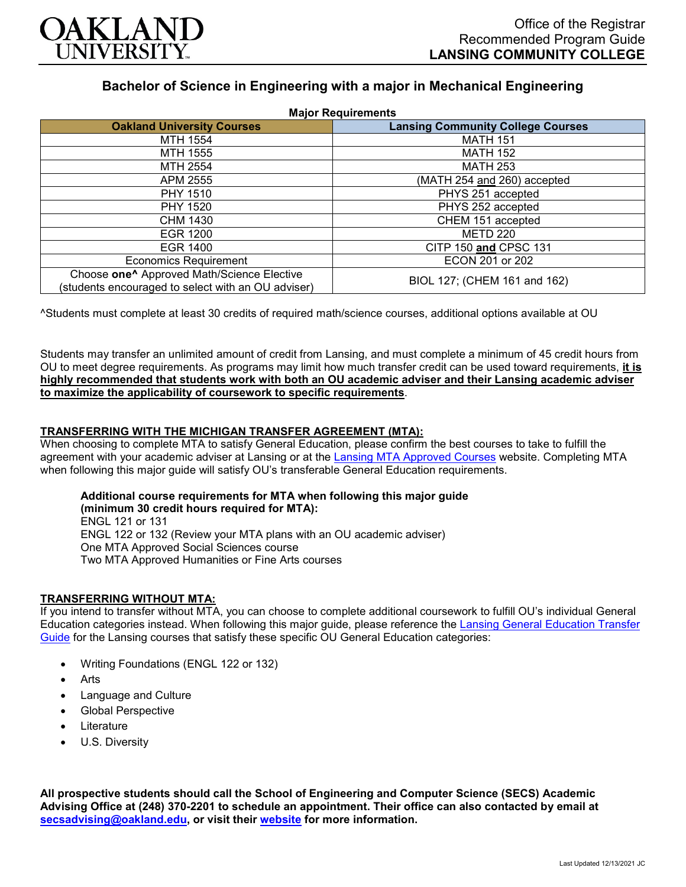

# **Bachelor of Science in Engineering with a major in Mechanical Engineering**

| <b>Major Requirements</b>                                                                                    |                                          |
|--------------------------------------------------------------------------------------------------------------|------------------------------------------|
| <b>Oakland University Courses</b>                                                                            | <b>Lansing Community College Courses</b> |
| MTH 1554                                                                                                     | <b>MATH 151</b>                          |
| MTH 1555                                                                                                     | <b>MATH 152</b>                          |
| MTH 2554                                                                                                     | <b>MATH 253</b>                          |
| APM 2555                                                                                                     | (MATH 254 and 260) accepted              |
| <b>PHY 1510</b>                                                                                              | PHYS 251 accepted                        |
| <b>PHY 1520</b>                                                                                              | PHYS 252 accepted                        |
| CHM 1430                                                                                                     | CHEM 151 accepted                        |
| <b>EGR 1200</b>                                                                                              | <b>METD 220</b>                          |
| EGR 1400                                                                                                     | CITP 150 and CPSC 131                    |
| <b>Economics Requirement</b>                                                                                 | ECON 201 or 202                          |
| Choose one <sup>^</sup> Approved Math/Science Elective<br>(students encouraged to select with an OU adviser) | BIOL 127; (CHEM 161 and 162)             |

^Students must complete at least 30 credits of required math/science courses, additional options available at OU

Students may transfer an unlimited amount of credit from Lansing, and must complete a minimum of 45 credit hours from OU to meet degree requirements. As programs may limit how much transfer credit can be used toward requirements, **it is highly recommended that students work with both an OU academic adviser and their Lansing academic adviser to maximize the applicability of coursework to specific requirements**.

## **TRANSFERRING WITH THE MICHIGAN TRANSFER AGREEMENT (MTA):**

When choosing to complete MTA to satisfy General Education, please confirm the best courses to take to fulfill the agreement with your academic adviser at Lansing or at the [Lansing MTA Approved Courses](https://www.lcc.edu/academics/transfer/mta.html) website. Completing MTA when following this major guide will satisfy OU's transferable General Education requirements.

#### **Additional course requirements for MTA when following this major guide (minimum 30 credit hours required for MTA):** ENGL 121 or 131

ENGL 122 or 132 (Review your MTA plans with an OU academic adviser) One MTA Approved Social Sciences course Two MTA Approved Humanities or Fine Arts courses

### **TRANSFERRING WITHOUT MTA:**

If you intend to transfer without MTA, you can choose to complete additional coursework to fulfill OU's individual General Education categories instead. When following this major guide, please reference the Lansing General Education Transfer [Guide](https://www.oakland.edu/Assets/Oakland/program-guides/lansing-community-college/university-general-education-requirements/Lansing%20Gen%20Ed.pdf) for the Lansing courses that satisfy these specific OU General Education categories:

- Writing Foundations (ENGL 122 or 132)
- Arts
- Language and Culture
- Global Perspective
- **Literature**
- U.S. Diversity

**All prospective students should call the School of Engineering and Computer Science (SECS) Academic Advising Office at (248) 370-2201 to schedule an appointment. Their office can also contacted by email at [secsadvising@oakland.edu,](mailto:secsadvising@oakland.edu) or visit their [website](https://wwwp.oakland.edu/secs/advising/) for more information.**